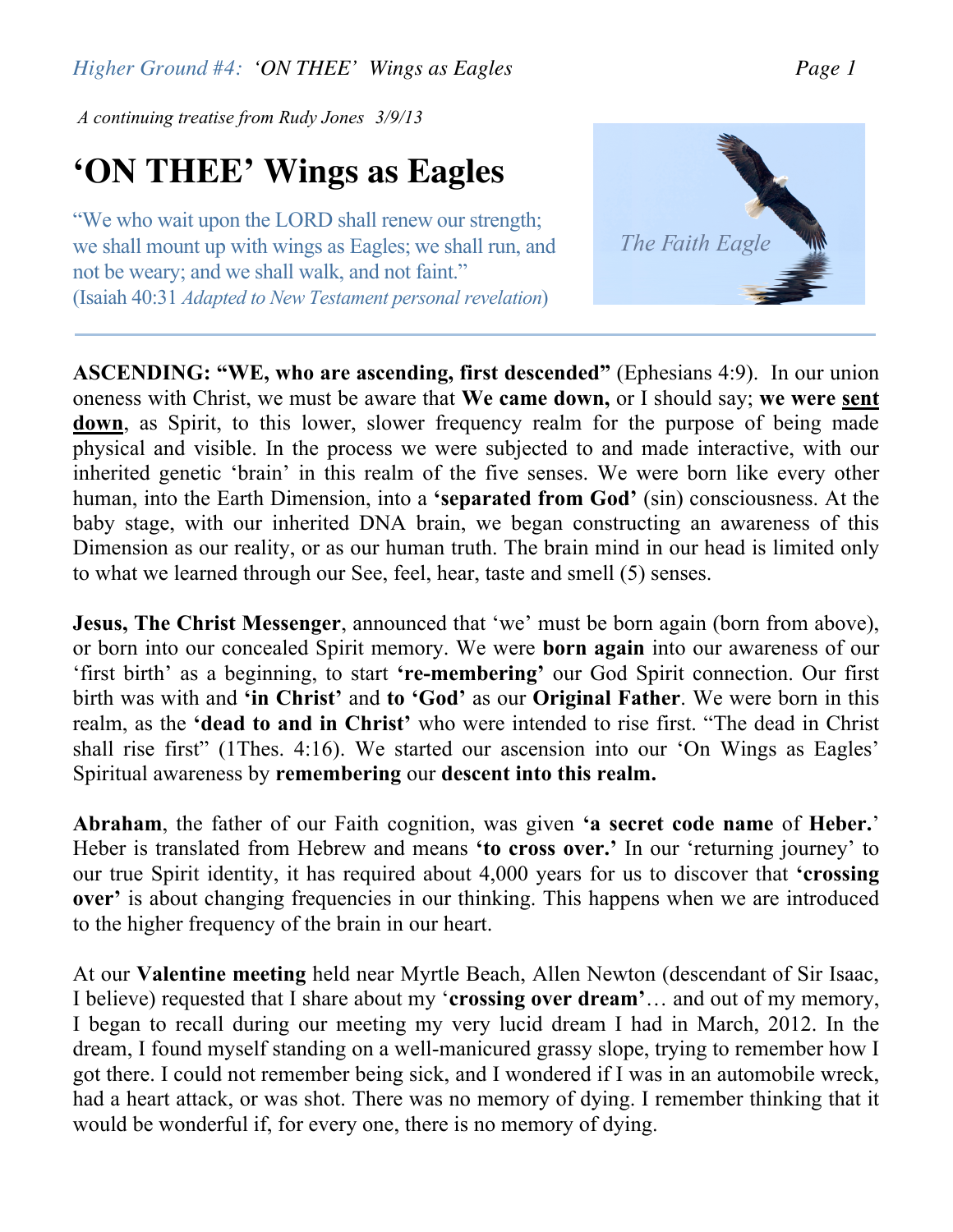*Higher Ground #4: 'ON THEE' Wings as Eagles Page 1*

*A continuing treatise from Rudy Jones 3/9/13*

## **'ON THEE' Wings as Eagles**

"We who wait upon the LORD shall renew our strength; we shall mount up with wings as Eagles; we shall run, and not be weary; and we shall walk, and not faint." (Isaiah 40:31 *Adapted to New Testament personal revelation*)

**ASCENDING: "WE, who are ascending, first descended"** (Ephesians 4:9).In our union oneness with Christ, we must be aware that **We came down,** or I should say; **we were sent down**, as Spirit, to this lower, slower frequency realm for the purpose of being made physical and visible. In the process we were subjected to and made interactive, with our inherited genetic 'brain' in this realm of the five senses. We were born like every other human, into the Earth Dimension, into a **'separated from God'** (sin) consciousness. At the baby stage, with our inherited DNA brain, we began constructing an awareness of this Dimension as our reality, or as our human truth. The brain mind in our head is limited only to what we learned through our See, feel, hear, taste and smell (5) senses.

**Jesus, The Christ Messenger**, announced that 'we' must be born again (born from above), or born into our concealed Spirit memory. We were **born again** into our awareness of our 'first birth' as a beginning, to start **'re-membering'** our God Spirit connection. Our first birth was with and **'in Christ'** and **to 'God'** as our **Original Father**. We were born in this realm, as the **'dead to and in Christ'** who were intended to rise first. "The dead in Christ shall rise first" (1Thes. 4:16). We started our ascension into our 'On Wings as Eagles' Spiritual awareness by **remembering** our **descent into this realm.**

**Abraham**, the father of our Faith cognition, was given **'a secret code name** of **Heber.**' Heber is translated from Hebrew and means **'to cross over.'** In our 'returning journey' to our true Spirit identity, it has required about 4,000 years for us to discover that **'crossing over'** is about changing frequencies in our thinking. This happens when we are introduced to the higher frequency of the brain in our heart.

At our **Valentine meeting** held near Myrtle Beach, Allen Newton (descendant of Sir Isaac, I believe) requested that I share about my '**crossing over dream'**… and out of my memory, I began to recall during our meeting my very lucid dream I had in March, 2012. In the dream, I found myself standing on a well-manicured grassy slope, trying to remember how I got there. I could not remember being sick, and I wondered if I was in an automobile wreck, had a heart attack, or was shot. There was no memory of dying. I remember thinking that it would be wonderful if, for every one, there is no memory of dying.

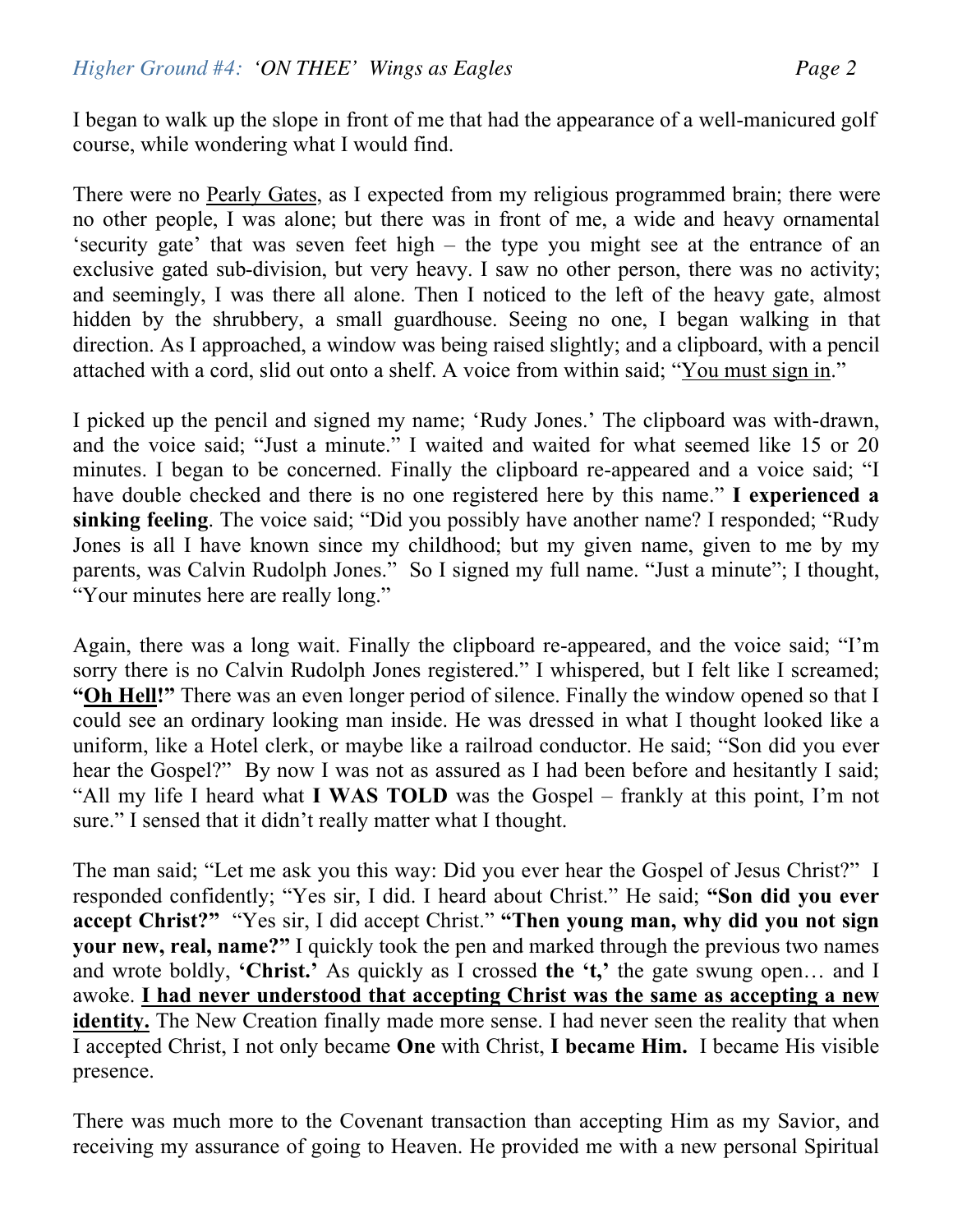I began to walk up the slope in front of me that had the appearance of a well-manicured golf course, while wondering what I would find.

There were no Pearly Gates, as I expected from my religious programmed brain; there were no other people, I was alone; but there was in front of me, a wide and heavy ornamental 'security gate' that was seven feet high – the type you might see at the entrance of an exclusive gated sub-division, but very heavy. I saw no other person, there was no activity; and seemingly, I was there all alone. Then I noticed to the left of the heavy gate, almost hidden by the shrubbery, a small guardhouse. Seeing no one, I began walking in that direction. As I approached, a window was being raised slightly; and a clipboard, with a pencil attached with a cord, slid out onto a shelf. A voice from within said; "You must sign in."

I picked up the pencil and signed my name; 'Rudy Jones.' The clipboard was with-drawn, and the voice said; "Just a minute." I waited and waited for what seemed like 15 or 20 minutes. I began to be concerned. Finally the clipboard re-appeared and a voice said; "I have double checked and there is no one registered here by this name." **I experienced a sinking feeling**. The voice said; "Did you possibly have another name? I responded; "Rudy Jones is all I have known since my childhood; but my given name, given to me by my parents, was Calvin Rudolph Jones." So I signed my full name. "Just a minute"; I thought, "Your minutes here are really long."

Again, there was a long wait. Finally the clipboard re-appeared, and the voice said; "I'm sorry there is no Calvin Rudolph Jones registered." I whispered, but I felt like I screamed; **"Oh Hell!"** There was an even longer period of silence. Finally the window opened so that I could see an ordinary looking man inside. He was dressed in what I thought looked like a uniform, like a Hotel clerk, or maybe like a railroad conductor. He said; "Son did you ever hear the Gospel?" By now I was not as assured as I had been before and hesitantly I said; "All my life I heard what **I WAS TOLD** was the Gospel – frankly at this point, I'm not sure." I sensed that it didn't really matter what I thought.

The man said; "Let me ask you this way: Did you ever hear the Gospel of Jesus Christ?" I responded confidently; "Yes sir, I did. I heard about Christ." He said; **"Son did you ever accept Christ?"** "Yes sir, I did accept Christ." **"Then young man, why did you not sign your new, real, name?"** I quickly took the pen and marked through the previous two names and wrote boldly, **'Christ.'** As quickly as I crossed **the 't,'** the gate swung open… and I awoke. **I had never understood that accepting Christ was the same as accepting a new identity.** The New Creation finally made more sense. I had never seen the reality that when I accepted Christ, I not only became **One** with Christ, **I became Him.** I became His visible presence.

There was much more to the Covenant transaction than accepting Him as my Savior, and receiving my assurance of going to Heaven. He provided me with a new personal Spiritual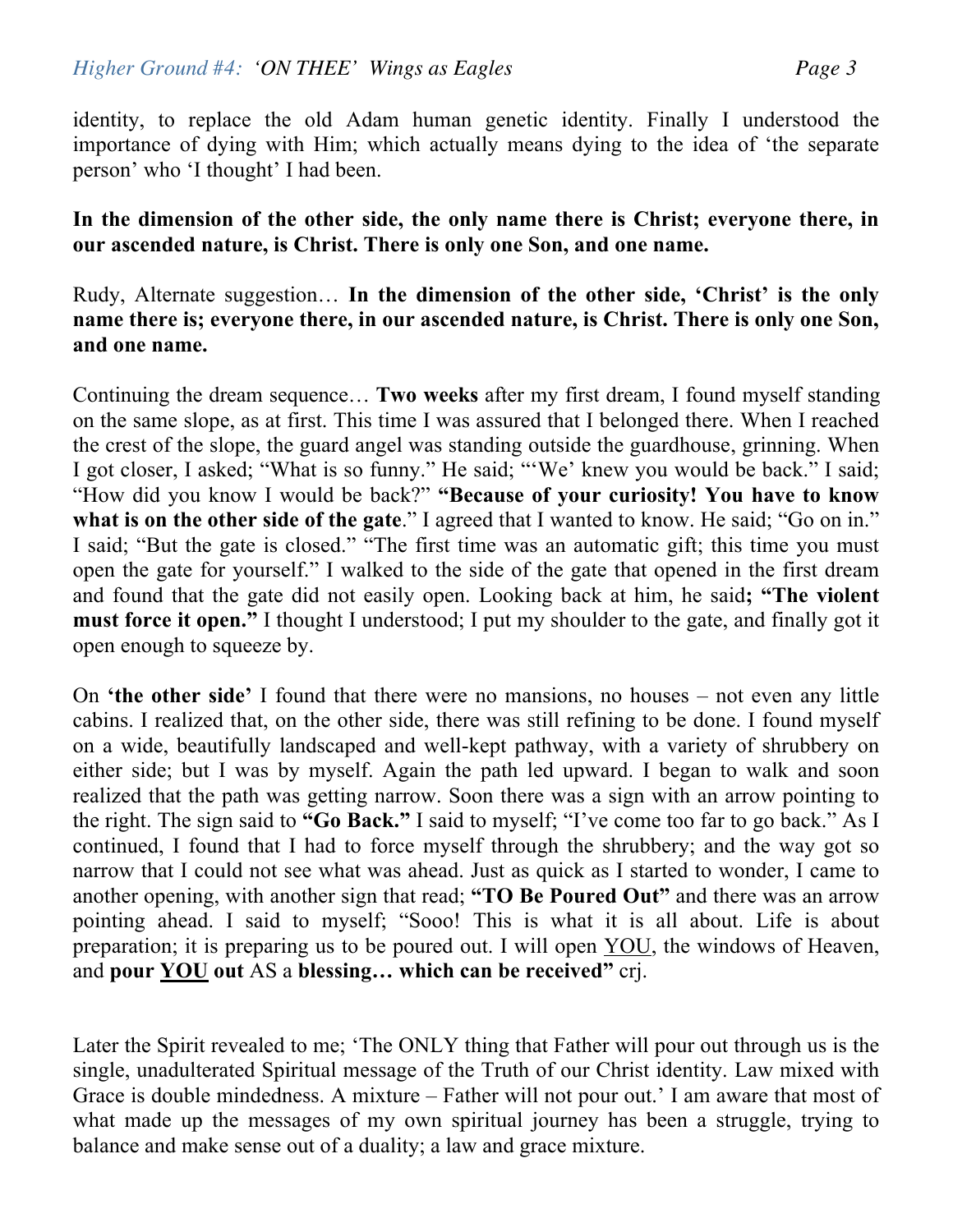identity, to replace the old Adam human genetic identity. Finally I understood the importance of dying with Him; which actually means dying to the idea of 'the separate person' who 'I thought' I had been.

**In the dimension of the other side, the only name there is Christ; everyone there, in our ascended nature, is Christ. There is only one Son, and one name.**

## Rudy, Alternate suggestion… **In the dimension of the other side, 'Christ' is the only name there is; everyone there, in our ascended nature, is Christ. There is only one Son, and one name.**

Continuing the dream sequence… **Two weeks** after my first dream, I found myself standing on the same slope, as at first. This time I was assured that I belonged there. When I reached the crest of the slope, the guard angel was standing outside the guardhouse, grinning. When I got closer, I asked; "What is so funny." He said; "'We' knew you would be back." I said; "How did you know I would be back?" **"Because of your curiosity! You have to know what is on the other side of the gate**." I agreed that I wanted to know. He said; "Go on in." I said; "But the gate is closed." "The first time was an automatic gift; this time you must open the gate for yourself." I walked to the side of the gate that opened in the first dream and found that the gate did not easily open. Looking back at him, he said**; "The violent must force it open."** I thought I understood; I put my shoulder to the gate, and finally got it open enough to squeeze by.

On **'the other side'** I found that there were no mansions, no houses – not even any little cabins. I realized that, on the other side, there was still refining to be done. I found myself on a wide, beautifully landscaped and well-kept pathway, with a variety of shrubbery on either side; but I was by myself. Again the path led upward. I began to walk and soon realized that the path was getting narrow. Soon there was a sign with an arrow pointing to the right. The sign said to **"Go Back."** I said to myself; "I've come too far to go back." As I continued, I found that I had to force myself through the shrubbery; and the way got so narrow that I could not see what was ahead. Just as quick as I started to wonder, I came to another opening, with another sign that read; **"TO Be Poured Out"** and there was an arrow pointing ahead. I said to myself; "Sooo! This is what it is all about. Life is about preparation; it is preparing us to be poured out. I will open YOU, the windows of Heaven, and **pour YOU out** AS a **blessing… which can be received"** crj.

Later the Spirit revealed to me; 'The ONLY thing that Father will pour out through us is the single, unadulterated Spiritual message of the Truth of our Christ identity. Law mixed with Grace is double mindedness. A mixture – Father will not pour out.' I am aware that most of what made up the messages of my own spiritual journey has been a struggle, trying to balance and make sense out of a duality; a law and grace mixture.